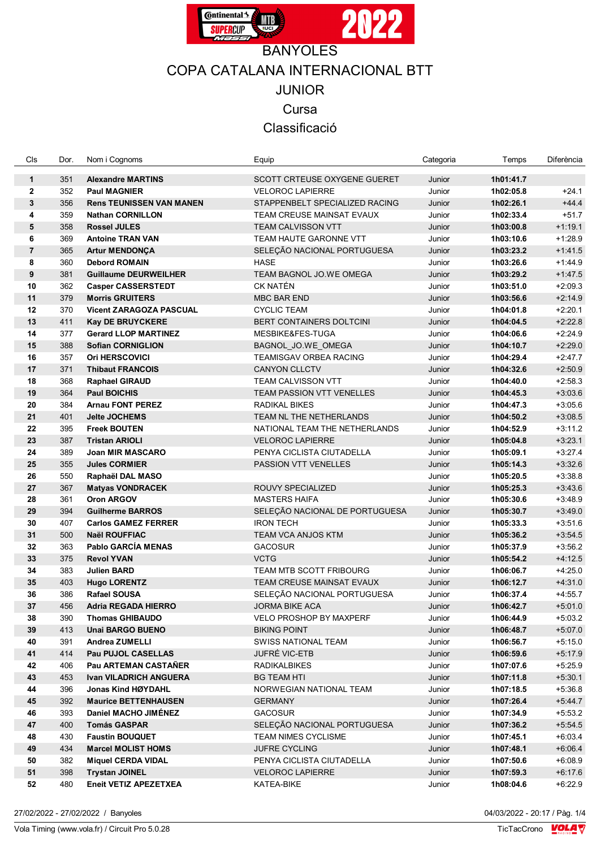

## COPA CATALANA INTERNACIONAL BTT JUNIOR Cursa

Classificació

| Cls                 | Dor.       | Nom i Cognoms                                          | Equip                                      | Categoria        | Temps                  | Diferència             |
|---------------------|------------|--------------------------------------------------------|--------------------------------------------|------------------|------------------------|------------------------|
|                     |            |                                                        |                                            |                  |                        |                        |
| $\mathbf{1}$        | 351        | <b>Alexandre MARTINS</b>                               | SCOTT CRTEUSE OXYGENE GUERET               | Junior           | 1h01:41.7              |                        |
| $\mathbf{2}$        | 352        | <b>Paul MAGNIER</b>                                    | <b>VELOROC LAPIERRE</b>                    | Junior           | 1h02:05.8              | $+24.1$                |
| 3                   | 356        | <b>Rens TEUNISSEN VAN MANEN</b>                        | STAPPENBELT SPECIALIZED RACING             | Junior           | 1h02:26.1              | $+44.4$                |
| 4                   | 359        | <b>Nathan CORNILLON</b>                                | TEAM CREUSE MAINSAT EVAUX                  | Junior           | 1h02:33.4              | $+51.7$                |
| $5\phantom{1}$      | 358        | <b>Rossel JULES</b>                                    | TEAM CALVISSON VTT                         | Junior           | 1h03:00.8              | $+1:19.1$              |
| 6                   | 369        | <b>Antoine TRAN VAN</b>                                | TEAM HAUTE GARONNE VTT                     | Junior           | 1h03:10.6              | $+1:28.9$              |
| $\overline{7}$<br>8 | 365<br>360 | <b>Artur MENDONÇA</b>                                  | SELEÇÃO NACIONAL PORTUGUESA                | Junior           | 1h03:23.2<br>1h03:26.6 | $+1.41.5$              |
|                     |            | <b>Debord ROMAIN</b>                                   | HASE                                       | Junior           |                        | $+1.44.9$              |
| $\pmb{9}$<br>10     | 381        | <b>Guillaume DEURWEILHER</b>                           | TEAM BAGNOL JO.WE OMEGA<br><b>CK NATÉN</b> | Junior           | 1h03:29.2              | $+1.47.5$<br>$+2:09.3$ |
| 11                  | 362<br>379 | <b>Casper CASSERSTEDT</b><br><b>Morris GRUITERS</b>    | <b>MBC BAR END</b>                         | Junior           | 1h03:51.0              | $+2:14.9$              |
| 12                  | 370        | <b>Vicent ZARAGOZA PASCUAL</b>                         | <b>CYCLIC TEAM</b>                         | Junior           | 1h03:56.6              | $+2:20.1$              |
| 13                  | 411        |                                                        | <b>BERT CONTAINERS DOLTCINI</b>            | Junior<br>Junior | 1h04:01.8              | $+2:22.8$              |
| 14                  | 377        | <b>Kay DE BRUYCKERE</b><br><b>Gerard LLOP MARTINEZ</b> | MESBIKE&FES-TUGA                           | Junior           | 1h04:04.5<br>1h04:06.6 | $+2:24.9$              |
| 15                  | 388        | <b>Sofian CORNIGLION</b>                               | BAGNOL_JO.WE_OMEGA                         | Junior           | 1h04:10.7              | $+2:29.0$              |
| 16                  | 357        | <b>Ori HERSCOVICI</b>                                  | TEAMISGAV ORBEA RACING                     | Junior           | 1h04:29.4              | $+2.47.7$              |
| 17                  | 371        | <b>Thibaut FRANCOIS</b>                                | <b>CANYON CLLCTV</b>                       | Junior           | 1h04:32.6              | $+2:50.9$              |
| 18                  | 368        | <b>Raphael GIRAUD</b>                                  | <b>TEAM CALVISSON VTT</b>                  | Junior           | 1h04:40.0              | $+2:58.3$              |
| 19                  | 364        | <b>Paul BOICHIS</b>                                    | TEAM PASSION VTT VENELLES                  | Junior           | 1h04:45.3              | $+3:03.6$              |
| 20                  | 384        | <b>Arnau FONT PEREZ</b>                                | RADIKAL BIKES                              | Junior           | 1h04:47.3              | $+3:05.6$              |
| 21                  | 401        | Jelte JOCHEMS                                          | TEAM NL THE NETHERLANDS                    | Junior           | 1h04:50.2              | $+3:08.5$              |
| 22                  | 395        | <b>Freek BOUTEN</b>                                    | NATIONAL TEAM THE NETHERLANDS              | Junior           | 1h04:52.9              | $+3:11.2$              |
| 23                  | 387        | <b>Tristan ARIOLI</b>                                  | <b>VELOROC LAPIERRE</b>                    | Junior           | 1h05:04.8              | $+3:23.1$              |
| 24                  | 389        | Joan MIR MASCARO                                       | PENYA CICLISTA CIUTADELLA                  | Junior           | 1h05:09.1              | $+3.27.4$              |
| 25                  | 355        | <b>Jules CORMIER</b>                                   | PASSION VTT VENELLES                       | Junior           | 1h05:14.3              | $+3:32.6$              |
| 26                  | 550        | Raphaël DAL MASO                                       |                                            | Junior           | 1h05:20.5              | $+3:38.8$              |
| 27                  | 367        | <b>Matyas VONDRACEK</b>                                | <b>ROUVY SPECIALIZED</b>                   | Junior           | 1h05:25.3              | $+3.43.6$              |
| 28                  | 361        | <b>Oron ARGOV</b>                                      | <b>MASTERS HAIFA</b>                       | Junior           | 1h05:30.6              | $+3.48.9$              |
| 29                  | 394        | <b>Guilherme BARROS</b>                                | SELEÇÃO NACIONAL DE PORTUGUESA             | Junior           | 1h05:30.7              | $+3.49.0$              |
| 30                  | 407        | <b>Carlos GAMEZ FERRER</b>                             | <b>IRON TECH</b>                           | Junior           | 1h05:33.3              | $+3:51.6$              |
| 31                  | 500        | <b>Naël ROUFFIAC</b>                                   | TEAM VCA ANJOS KTM                         | Junior           | 1h05:36.2              | $+3:54.5$              |
| 32                  | 363        | Pablo GARCÍA MENAS                                     | <b>GACOSUR</b>                             | Junior           | 1h05:37.9              | $+3:56.2$              |
| 33                  | 375        | <b>Revol YVAN</b>                                      | <b>VCTG</b>                                | Junior           | 1h05:54.2              | $+4.12.5$              |
| 34                  | 383        | <b>Julien BARD</b>                                     | TEAM MTB SCOTT FRIBOURG                    | Junior           | 1h06:06.7              | $+4.25.0$              |
| 35                  | 403        | <b>Hugo LORENTZ</b>                                    | TEAM CREUSE MAINSAT EVAUX                  | Junior           | 1h06:12.7              | $+4:31.0$              |
| 36                  | 386        | <b>Rafael SOUSA</b>                                    | SELEÇÃO NACIONAL PORTUGUESA                | Junior           | 1h06:37.4              | $+4:55.7$              |
| 37                  | 456        | Adria REGADA HIERRO                                    | JORMA BIKE ACA                             | Junior           | 1h06:42.7              | $+5:01.0$              |
| 38                  | 390        | <b>Thomas GHIBAUDO</b>                                 | <b>VELO PROSHOP BY MAXPERF</b>             | Junior           | 1h06:44.9              | $+5:03.2$              |
| 39                  | 413        | <b>Unai BARGO BUENO</b>                                | <b>BIKING POINT</b>                        | Junior           | 1h06:48.7              | $+5:07.0$              |
| 40                  | 391        | <b>Andrea ZUMELLI</b>                                  | <b>SWISS NATIONAL TEAM</b>                 | Junior           | 1h06:56.7              | $+5:15.0$              |
| 41                  | 414        | Pau PUJOL CASELLAS                                     | JUFRÉ VIC-ETB                              | Junior           | 1h06:59.6              | $+5:17.9$              |
| 42                  | 406        | Pau ARTEMAN CASTANER                                   | <b>RADIKALBIKES</b>                        | Junior           | 1h07:07.6              | $+5.25.9$              |
| 43                  | 453        | <b>Ivan VILADRICH ANGUERA</b>                          | <b>BG TEAM HTI</b>                         | Junior           | 1h07:11.8              | $+5:30.1$              |
| 44                  | 396        | Jonas Kind HØYDAHL                                     | <b>NORWEGIAN NATIONAL TEAM</b>             | Junior           | 1h07:18.5              | $+5:36.8$              |
| 45                  | 392        | <b>Maurice BETTENHAUSEN</b>                            | <b>GERMANY</b>                             | Junior           | 1h07:26.4              | $+5.44.7$              |
| 46                  | 393        | Daniel MACHO JIMENEZ                                   | <b>GACOSUR</b>                             | Junior           | 1h07:34.9              | $+5:53.2$              |
| 47                  | 400        | <b>Tomás GASPAR</b>                                    | SELEÇÃO NACIONAL PORTUGUESA                | Junior           | 1h07:36.2              | $+5:54.5$              |
| 48                  | 430        | <b>Faustin BOUQUET</b>                                 | <b>TEAM NIMES CYCLISME</b>                 | Junior           | 1h07:45.1              | $+6:03.4$              |
| 49                  | 434        | <b>Marcel MOLIST HOMS</b>                              | <b>JUFRE CYCLING</b>                       | Junior           | 1h07:48.1              | $+6.06.4$              |
| 50                  | 382        | <b>Miquel CERDA VIDAL</b>                              | PENYA CICLISTA CIUTADELLA                  | Junior           | 1h07:50.6              | $+6.08.9$              |
| 51                  | 398        | <b>Trystan JOINEL</b>                                  | <b>VELOROC LAPIERRE</b>                    | Junior           | 1h07:59.3              | $+6:17.6$              |
| 52                  | 480        | Eneit VETIZ APEZETXEA                                  | KATEA-BIKE                                 | Junior           | 1h08:04.6              | $+6.22.9$              |

27/02/2022 - 27/02/2022 / Banyoles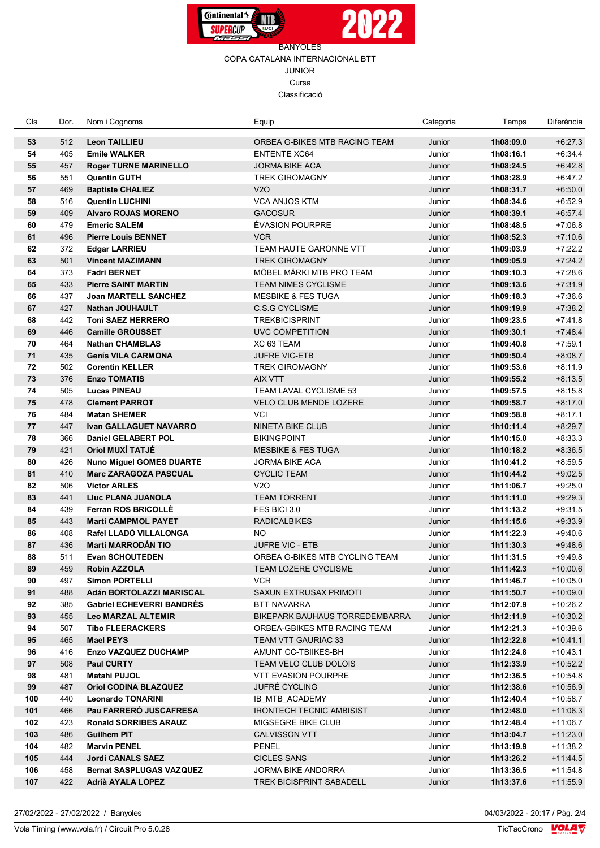



## BANYOLES COPA CATALANA INTERNACIONAL BTT JUNIOR Cursa Classificació

| Cls       | Dor.       | Nom i Cognoms                                            | Equip                                  | Categoria        | Temps                  | Diferència               |
|-----------|------------|----------------------------------------------------------|----------------------------------------|------------------|------------------------|--------------------------|
| 53        | 512        | <b>Leon TAILLIEU</b>                                     | ORBEA G-BIKES MTB RACING TEAM          | Junior           | 1h08:09.0              | $+6:27.3$                |
| 54        | 405        | <b>Emile WALKER</b>                                      | <b>ENTENTE XC64</b>                    | Junior           | 1h08:16.1              | $+6.34.4$                |
| 55        | 457        | <b>Roger TURNE MARINELLO</b>                             | <b>JORMA BIKE ACA</b>                  | Junior           | 1h08:24.5              | $+6.42.8$                |
| 56        | 551        | <b>Quentin GUTH</b>                                      | TREK GIROMAGNY                         | Junior           | 1h08:28.9              | $+6.47.2$                |
| 57        | 469        | <b>Baptiste CHALIEZ</b>                                  | V2O                                    | Junior           | 1h08:31.7              | $+6:50.0$                |
| 58        | 516        | <b>Quentin LUCHINI</b>                                   | <b>VCA ANJOS KTM</b>                   | Junior           | 1h08:34.6              | $+6.52.9$                |
| 59        | 409        | <b>Alvaro ROJAS MORENO</b>                               | <b>GACOSUR</b>                         | Junior           | 1h08:39.1              | $+6.57.4$                |
| 60        | 479        | <b>Emeric SALEM</b>                                      | ÉVASION POURPRE                        | Junior           | 1h08:48.5              | $+7:06.8$                |
| 61        | 496        | <b>Pierre Louis BENNET</b>                               | <b>VCR</b>                             | Junior           | 1h08:52.3              | $+7:10.6$                |
| 62        | 372        | <b>Edgar LARRIEU</b>                                     | TEAM HAUTE GARONNE VTT                 | Junior           | 1h09:03.9              | $+7:22.2$                |
| 63        | 501        | <b>Vincent MAZIMANN</b>                                  | <b>TREK GIROMAGNY</b>                  | Junior           | 1h09:05.9              | $+7:24.2$                |
| 64        | 373        | <b>Fadri BERNET</b>                                      | MÖBEL MÄRKI MTB PRO TEAM               | Junior           | 1h09:10.3              | $+7:28.6$                |
| 65        | 433        | <b>Pierre SAINT MARTIN</b>                               | TEAM NIMES CYCLISME                    | Junior           | 1h09:13.6              | $+7:31.9$                |
| 66        | 437        | <b>Joan MARTELL SANCHEZ</b>                              | <b>MESBIKE &amp; FES TUGA</b>          | Junior           | 1h09:18.3              | $+7:36.6$                |
| 67        | 427        | <b>Nathan JOUHAULT</b>                                   | <b>C.S.G CYCLISME</b>                  | Junior           | 1h09:19.9              | $+7:38.2$                |
| 68        | 442        | <b>Toni SAEZ HERRERO</b>                                 | <b>TREKBICISPRINT</b>                  | Junior           | 1h09:23.5              | $+7.41.8$                |
| 69        | 446        | <b>Camille GROUSSET</b>                                  | UVC COMPETITION                        | Junior           | 1h09:30.1              | $+7.48.4$                |
| 70        | 464        | <b>Nathan CHAMBLAS</b>                                   | XC 63 TEAM                             | Junior           | 1h09:40.8              | $+7:59.1$                |
| 71        | 435        | <b>Genís VILA CARMONA</b>                                | <b>JUFRE VIC-ETB</b>                   | Junior           | 1h09:50.4              | $+8:08.7$                |
| 72        | 502        | <b>Corentin KELLER</b>                                   | <b>TREK GIROMAGNY</b>                  | Junior           | 1h09:53.6              | $+8:11.9$                |
| 73        | 376        | <b>Enzo TOMATIS</b>                                      | <b>AIX VTT</b>                         | Junior           | 1h09:55.2              | $+8:13.5$                |
| 74        | 505        | <b>Lucas PINEAU</b>                                      | TEAM LAVAL CYCLISME 53                 | Junior           | 1h09:57.5              | $+8:15.8$                |
| 75        | 478        | <b>Clement PARROT</b>                                    | <b>VELO CLUB MENDE LOZERE</b>          | Junior           | 1h09:58.7              | $+8:17.0$                |
| 76        | 484        | <b>Matan SHEMER</b>                                      | <b>VCI</b>                             | Junior           | 1h09:58.8              | $+8.17.1$                |
| 77        | 447        | <b>Ivan GALLAGUET NAVARRO</b>                            | <b>NINETA BIKE CLUB</b>                | Junior           | 1h10:11.4              | $+8:29.7$                |
| 78        | 366        | <b>Daniel GELABERT POL</b>                               | <b>BIKINGPOINT</b>                     | Junior           | 1h10:15.0              | $+8:33.3$                |
| 79        | 421        | Oriol MUXÍ TATJÉ                                         | <b>MESBIKE &amp; FES TUGA</b>          | Junior           | 1h10:18.2              | $+8.36.5$                |
| 80        | 426        | <b>Nuno Miguel GOMES DUARTE</b>                          | JORMA BIKE ACA                         | Junior           | 1h10:41.2              | $+8.59.5$                |
| 81        | 410        | <b>Marc ZARAGOZA PASCUAL</b>                             | <b>CYCLIC TEAM</b>                     | Junior           | 1h10:44.2              | $+9:02.5$                |
| 82        | 506        | <b>Victor ARLES</b>                                      | V2O                                    | Junior           | 1h11:06.7              | $+9:25.0$                |
| 83        | 441        | Lluc PLANA JUANOLA                                       | <b>TEAM TORRENT</b>                    | Junior           | 1h11:11.0              | $+9.29.3$                |
| 84        | 439        | <b>Ferran ROS BRICOLLÉ</b>                               | FES BICI 3.0                           | Junior           | 1h11:13.2              | $+9:31.5$                |
| 85        | 443        | <b>Martí CAMPMOL PAYET</b>                               | <b>RADICALBIKES</b>                    | Junior           | 1h11:15.6              | $+9.33.9$                |
| 86        | 408        | Rafel LLADÓ VILLALONGA                                   | NO.                                    | Junior           | 1h11:22.3              | $+9.40.6$                |
| 87        | 436        | <b>Martí MARRODAN TIO</b>                                | <b>JUFRE VIC - ETB</b>                 | Junior           | 1h11:30.3              | $+9.48.6$                |
| 88        | 511        | <b>Evan SCHOUTEDEN</b>                                   | ORBEA G-BIKES MTB CYCLING TEAM         | Junior           | 1h11:31.5              | $+9.49.8$                |
| 89        | 459        | Robin AZZOLA                                             | TEAM LOZERE CYCLISME                   | Junior           | 1h11:42.3              | $+10:00.6$               |
| 90        | 497        | Simon PORTELLI                                           | <b>VCR</b>                             | Junior           | 1h11:46.7              | $+10:05.0$               |
| 91        | 488        | Adán BORTOLAZZI MARISCAL                                 | <b>SAXUN EXTRUSAX PRIMOTI</b>          | Junior           | 1h11:50.7              | $+10:09.0$               |
| 92        | 385        | <b>Gabriel ECHEVERRI BANDRÉS</b>                         | <b>BTT NAVARRA</b>                     | Junior           | 1h12:07.9              | $+10:26.2$               |
| 93        | 455        | <b>Leo MARZAL ALTEMIR</b>                                | <b>BIKEPARK BAUHAUS TORREDEMBARRA</b>  | Junior           | 1h12:11.9              | $+10:30.2$               |
| 94        | 507        | <b>Tibo FLEERACKERS</b>                                  | ORBEA-GBIKES MTB RACING TEAM           | Junior           | 1h12:21.3              | $+10:39.6$               |
| 95        | 465        | Mael PEYS                                                | TEAM VTT GAURIAC 33                    | Junior           | 1h12:22.8              | $+10:41.1$               |
| 96        | 416        | Enzo VAZQUEZ DUCHAMP                                     | AMUNT CC-TBIIKES-BH                    | Junior           | 1h12:24.8              | $+10:43.1$               |
| 97        | 508        | <b>Paul CURTY</b>                                        | TEAM VELO CLUB DOLOIS                  | Junior           | 1h12:33.9              | $+10:52.2$               |
| 98        | 481        | <b>Matahi PUJOL</b>                                      | <b>VTT EVASION POURPRE</b>             | Junior           | 1h12:36.5              | $+10:54.8$               |
| 99<br>100 | 487<br>440 | <b>Oriol CODINA BLAZQUEZ</b><br><b>Leonardo TONARINI</b> | <b>JUFRÉ CYCLING</b><br>IB_MTB_ACADEMY | Junior           | 1h12:38.6              | $+10:56.9$               |
| 101       | 466        | Pau FARRERO JUSCAFRESA                                   | <b>IRONTECH TECNIC AMBISIST</b>        | Junior           | 1h12:40.4              | $+10:58.7$               |
| 102       | 423        | <b>Ronald SORRIBES ARAUZ</b>                             | MIGSEGRE BIKE CLUB                     | Junior<br>Junior | 1h12:48.0<br>1h12:48.4 | $+11:06.3$<br>$+11:06.7$ |
| 103       | 486        | <b>Guilhem PIT</b>                                       | <b>CALVISSON VTT</b>                   | Junior           | 1h13:04.7              | $+11:23.0$               |
| 104       | 482        | <b>Marvin PENEL</b>                                      | PENEL                                  | Junior           | 1h13:19.9              | $+11:38.2$               |
| 105       | 444        | <b>Jordi CANALS SAEZ</b>                                 | <b>CICLES SANS</b>                     | Junior           | 1h13:26.2              | $+11.44.5$               |
| 106       | 458        | <b>Bernat SASPLUGAS VAZQUEZ</b>                          | JORMA BIKE ANDORRA                     | Junior           | 1h13:36.5              | $+11:54.8$               |
| 107       | 422        | Adrià AYALA LOPEZ                                        | <b>TREK BICISPRINT SABADELL</b>        | Junior           | 1h13:37.6              | $+11:55.9$               |
|           |            |                                                          |                                        |                  |                        |                          |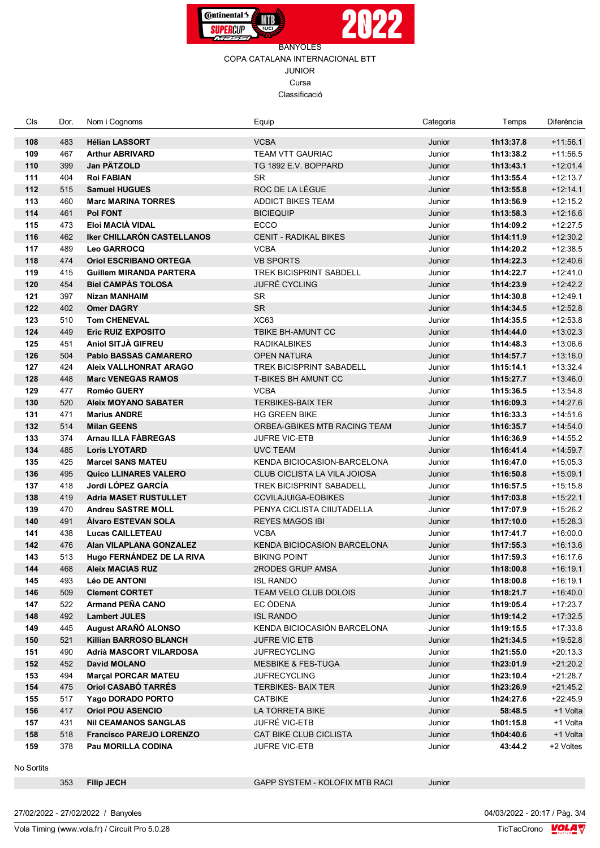



## BANYOLES COPA CATALANA INTERNACIONAL BTT JUNIOR Cursa Classificació

| Cls | Dor. | Nom i Cognoms                     | Equip                              | Categoria | Temps     | Diferència |
|-----|------|-----------------------------------|------------------------------------|-----------|-----------|------------|
| 108 | 483  | <b>Hélian LASSORT</b>             | <b>VCBA</b>                        | Junior    | 1h13:37.8 | $+11:56.1$ |
| 109 | 467  | <b>Arthur ABRIVARD</b>            | <b>TEAM VTT GAURIAC</b>            | Junior    | 1h13:38.2 | $+11:56.5$ |
| 110 | 399  | Jan PÄTZOLD                       | TG 1892 E.V. BOPPARD               | Junior    | 1h13:43.1 | $+12:01.4$ |
| 111 | 404  | <b>Roi FABIAN</b>                 | <b>SR</b>                          | Junior    | 1h13:55.4 | $+12:13.7$ |
| 112 | 515  | <b>Samuel HUGUES</b>              | ROC DE LA LÈGUE                    | Junior    | 1h13:55.8 | $+12:14.1$ |
| 113 | 460  | <b>Marc MARINA TORRES</b>         | <b>ADDICT BIKES TEAM</b>           | Junior    | 1h13:56.9 | $+12:15.2$ |
| 114 | 461  | <b>Pol FONT</b>                   | <b>BICIEQUIP</b>                   | Junior    | 1h13:58.3 | $+12:16.6$ |
| 115 | 473  | Eloi MACIÀ VIDAL                  | <b>ECCO</b>                        | Junior    | 1h14:09.2 | $+12:27.5$ |
| 116 | 462  | <b>Iker CHILLARÓN CASTELLANOS</b> | <b>CENIT - RADIKAL BIKES</b>       | Junior    | 1h14:11.9 | $+12:30.2$ |
| 117 | 489  | Leo GARROCQ                       | <b>VCBA</b>                        | Junior    | 1h14:20.2 | $+12:38.5$ |
| 118 | 474  | <b>Oriol ESCRIBANO ORTEGA</b>     | <b>VB SPORTS</b>                   | Junior    | 1h14:22.3 | $+12:40.6$ |
| 119 | 415  | <b>Guillem MIRANDA PARTERA</b>    | TREK BICISPRINT SABDELL            | Junior    | 1h14:22.7 | $+12:41.0$ |
| 120 | 454  | <b>Biel CAMPAS TOLOSA</b>         | <b>JUFRÉ CYCLING</b>               | Junior    | 1h14:23.9 | $+12:42.2$ |
| 121 | 397  | <b>Nizan MANHAIM</b>              | SR                                 | Junior    | 1h14:30.8 | $+12:49.1$ |
| 122 | 402  | <b>Omer DAGRY</b>                 | <b>SR</b>                          | Junior    | 1h14:34.5 | $+12:52.8$ |
| 123 | 510  | <b>Tom CHENEVAL</b>               | <b>XC63</b>                        | Junior    | 1h14:35.5 | $+12:53.8$ |
| 124 | 449  | <b>Eric RUIZ EXPOSITO</b>         | TBIKE BH-AMUNT CC                  | Junior    | 1h14:44.0 | $+13:02.3$ |
| 125 | 451  | Aniol SITJÀ GIFREU                | <b>RADIKALBIKES</b>                | Junior    | 1h14:48.3 | $+13:06.6$ |
| 126 | 504  | <b>Pablo BASSAS CAMARERO</b>      | <b>OPEN NATURA</b>                 | Junior    | 1h14:57.7 | $+13:16.0$ |
| 127 | 424  | <b>Aleix VALLHONRAT ARAGO</b>     | <b>TREK BICISPRINT SABADELL</b>    | Junior    | 1h15:14.1 | $+13:32.4$ |
| 128 | 448  | <b>Marc VENEGAS RAMOS</b>         | <b>T-BIKES BH AMUNT CC</b>         | Junior    | 1h15:27.7 | $+13:46.0$ |
| 129 | 477  | <b>Roméo GUERY</b>                | <b>VCBA</b>                        | Junior    | 1h15:36.5 | $+13:54.8$ |
| 130 | 520  | <b>Aleix MOYANO SABATER</b>       | <b>TERBIKES-BAIX TER</b>           | Junior    | 1h16:09.3 | $+14:27.6$ |
| 131 | 471  | <b>Marius ANDRE</b>               | <b>HG GREEN BIKE</b>               | Junior    | 1h16:33.3 | $+14:51.6$ |
| 132 | 514  | <b>Milan GEENS</b>                | ORBEA-GBIKES MTB RACING TEAM       | Junior    | 1h16:35.7 | $+14:54.0$ |
| 133 | 374  | Arnau ILLA FABREGAS               | <b>JUFRE VIC-ETB</b>               | Junior    | 1h16:36.9 | $+14:55.2$ |
| 134 | 485  | <b>Loris LYOTARD</b>              | <b>UVC TEAM</b>                    | Junior    | 1h16:41.4 | $+14:59.7$ |
| 135 | 425  | <b>Marcel SANS MATEU</b>          | <b>KENDA BICIOCASION-BARCELONA</b> | Junior    | 1h16:47.0 | $+15:05.3$ |
| 136 | 495  | <b>Quico LLINARES VALERO</b>      | CLUB CICLISTA LA VILA JOIOSA       | Junior    | 1h16:50.8 | $+15:09.1$ |
| 137 | 418  | Jordi LÓPEZ GARCÍA                | <b>TREK BICISPRINT SABADELL</b>    | Junior    | 1h16:57.5 | $+15:15.8$ |
| 138 | 419  | <b>Adria MASET RUSTULLET</b>      | <b>CCVILAJUIGA-EOBIKES</b>         | Junior    | 1h17:03.8 | $+15:22.1$ |
| 139 | 470  | <b>Andreu SASTRE MOLL</b>         | PENYA CICLISTA CIIUTADELLA         | Junior    | 1h17:07.9 | $+15:26.2$ |
| 140 | 491  | Álvaro ESTEVAN SOLA               | <b>REYES MAGOS IBI</b>             | Junior    | 1h17:10.0 | $+15:28.3$ |
| 141 | 438  | <b>Lucas CAILLETEAU</b>           | <b>VCBA</b>                        | Junior    | 1h17:41.7 | $+16:00.0$ |
| 142 | 476  | Alan VILAPLANA GONZALEZ           | <b>KENDA BICIOCASION BARCELONA</b> | Junior    | 1h17:55.3 | $+16:13.6$ |
| 143 | 513  | Hugo FERNÁNDEZ DE LA RIVA         | <b>BIKING POINT</b>                | Junior    | 1h17:59.3 | $+16:17.6$ |
| 144 | 468  | <b>Aleix MACIAS RUZ</b>           | 2RODES GRUP AMSA                   | Junior    | 1h18:00.8 | $+16:19.1$ |
| 145 | 493  | <b>Léo DE ANTONI</b>              | <b>ISL RANDO</b>                   | Junior    | 1h18:00.8 | $+16:19.1$ |
| 146 | 509  | <b>Clement CORTET</b>             | TEAM VELO CLUB DOLOIS              | Junior    | 1h18:21.7 | $+16:40.0$ |
| 147 | 522  | Armand PEÑA CANO                  | EC ODENA                           | Junior    | 1h19:05.4 | $+17:23.7$ |
| 148 | 492  | <b>Lambert JULES</b>              | <b>ISL RANDO</b>                   | Junior    | 1h19:14.2 | $+17:32.5$ |
| 149 | 445  | August ARAÑÓ ALONSO               | KENDA BICIOCASIÓN BARCELONA        | Junior    | 1h19:15.5 | +17:33.8   |
| 150 | 521  | <b>Killian BARROSO BLANCH</b>     | <b>JUFRE VIC ETB</b>               | Junior    | 1h21:34.5 | $+19:52.8$ |
| 151 | 490  | Adrià MASCORT VILARDOSA           | <b>JUFRECYCLING</b>                | Junior    | 1h21:55.0 | $+20:13.3$ |
| 152 | 452  | David MOLANO                      | <b>MESBIKE &amp; FES-TUGA</b>      | Junior    | 1h23:01.9 | $+21:20.2$ |
| 153 | 494  | <b>Marcal PORCAR MATEU</b>        | <b>JUFRECYCLING</b>                | Junior    | 1h23:10.4 | $+21:28.7$ |
| 154 | 475  | Oriol CASABÓ TARRÉS               | <b>TERBIKES- BAIX TER</b>          | Junior    | 1h23:26.9 | $+21.45.2$ |
| 155 | 517  | Yago DORADO PORTO                 | <b>CATBIKE</b>                     | Junior    | 1h24:27.6 | $+22:45.9$ |
| 156 | 417  | <b>Oriol POU ASENCIO</b>          | LA TORRETA BIKE                    | Junior    | 58:48.5   | +1 Volta   |
| 157 | 431  | <b>NII CEAMANOS SANGLAS</b>       | JUFRÉ VIC-ETB                      | Junior    | 1h01:15.8 | +1 Volta   |
| 158 | 518  | <b>Francisco PAREJO LORENZO</b>   | CAT BIKE CLUB CICLISTA             | Junior    | 1h04:40.6 | +1 Volta   |
| 159 | 378  | Pau MORILLA CODINA                | JUFRE VIC-ETB                      | Junior    | 43:44.2   | +2 Voltes  |

No Sortits

Vola Timing (www.vola.fr) / Circuit Pro 5.0.28

**Filip JECH** GAPP SYSTEM - KOLOFIX MTB RACI Junior